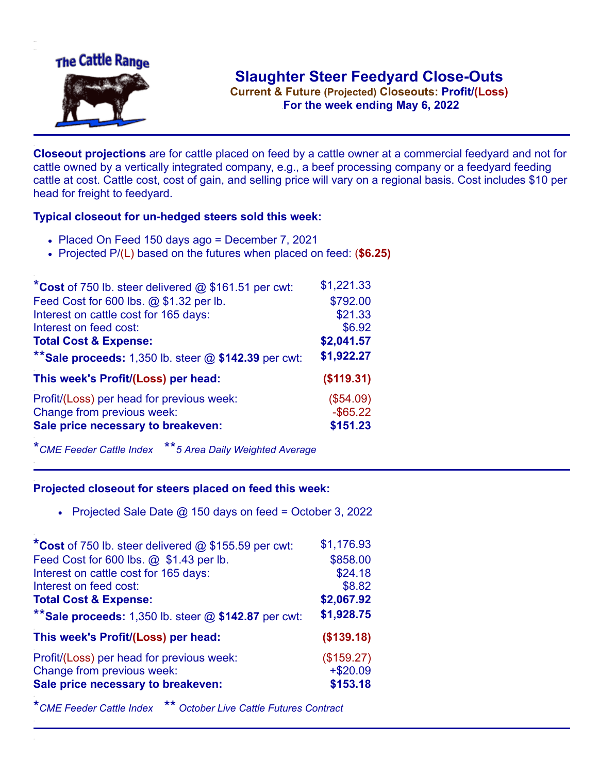

**Current & Future (Projected) Closeouts: Profit/(Loss)** .**For the week ending May 6, 2022**

**Closeout projections** are for cattle placed on feed by a cattle owner at a commercial feedyard and not for cattle owned by a vertically integrated company, e.g., a beef processing company or a feedyard feeding cattle at cost. Cattle cost, cost of gain, and selling price will vary on a regional basis. Cost includes \$10 per head for freight to feedyard.

## **Typical closeout for un-hedged steers sold this week:**

- Placed On Feed 150 days ago = December 7, 2021
- Projected P/(L) based on the futures when placed on feed: (**\$6.25)**

| *Cost of 750 lb. steer delivered $@$ \$161.51 per cwt:  | \$1,221.33  |
|---------------------------------------------------------|-------------|
| Feed Cost for 600 lbs. @ \$1.32 per lb.                 | \$792.00    |
| Interest on cattle cost for 165 days:                   | \$21.33     |
| Interest on feed cost:                                  | \$6.92      |
| <b>Total Cost &amp; Expense:</b>                        | \$2,041.57  |
| ** Sale proceeds: 1,350 lb. steer $@$ \$142.39 per cwt: | \$1,922.27  |
| This week's Profit/(Loss) per head:                     | (\$119.31)  |
| Profit/(Loss) per head for previous week:               | (\$54.09)   |
| Change from previous week:                              | $-$ \$65.22 |
| Sale price necessary to breakeven:                      | \$151.23    |
|                                                         |             |

\**CME Feeder Cattle Index* \*\**5 Area Daily Weighted Average*

## **Projected closeout for steers placed on feed this week:**

Projected Sale Date  $\omega$  150 days on feed = October 3, 2022

| *Cost of 750 lb. steer delivered @ \$155.59 per cwt:    | \$1,176.93 |
|---------------------------------------------------------|------------|
| Feed Cost for 600 lbs. @ \$1.43 per lb.                 | \$858.00   |
| Interest on cattle cost for 165 days:                   | \$24.18    |
| Interest on feed cost:                                  | \$8.82     |
| <b>Total Cost &amp; Expense:</b>                        | \$2,067.92 |
| ** Sale proceeds: 1,350 lb. steer $@$ \$142.87 per cwt: | \$1,928.75 |
| This week's Profit/(Loss) per head:                     | (\$139.18) |
| Profit/(Loss) per head for previous week:               | (\$159.27) |
| Change from previous week:                              | $+ $20.09$ |
| Sale price necessary to breakeven:                      | \$153.18   |

\**CME Feeder Cattle Index* \*\* *October Live Cattle Futures Contract*